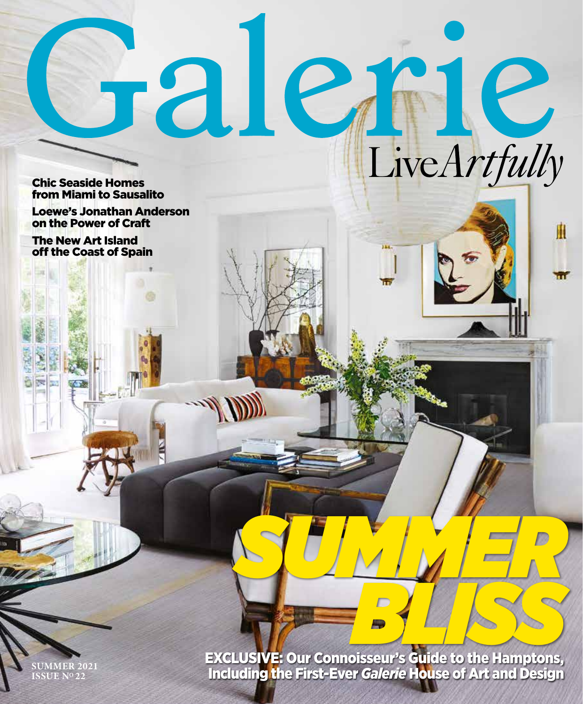Jalene LiveArtfully **Chic Seaside Homes** from Miami to Sausalito

**Loewe's Jonathan Anderson** on the Power of Craft

**The New Art Island** off the Coast of Spain

**EXCLUSIVE: Our Connoisseur's Guide to the Hamptons,<br>Including the First-Ever** *Galerie* **House of Art and Design** 

n

M

 $\overline{\mathbf{C}}$ 

SUMMER 202<mark>1</mark><br>ISSUE Nº 22